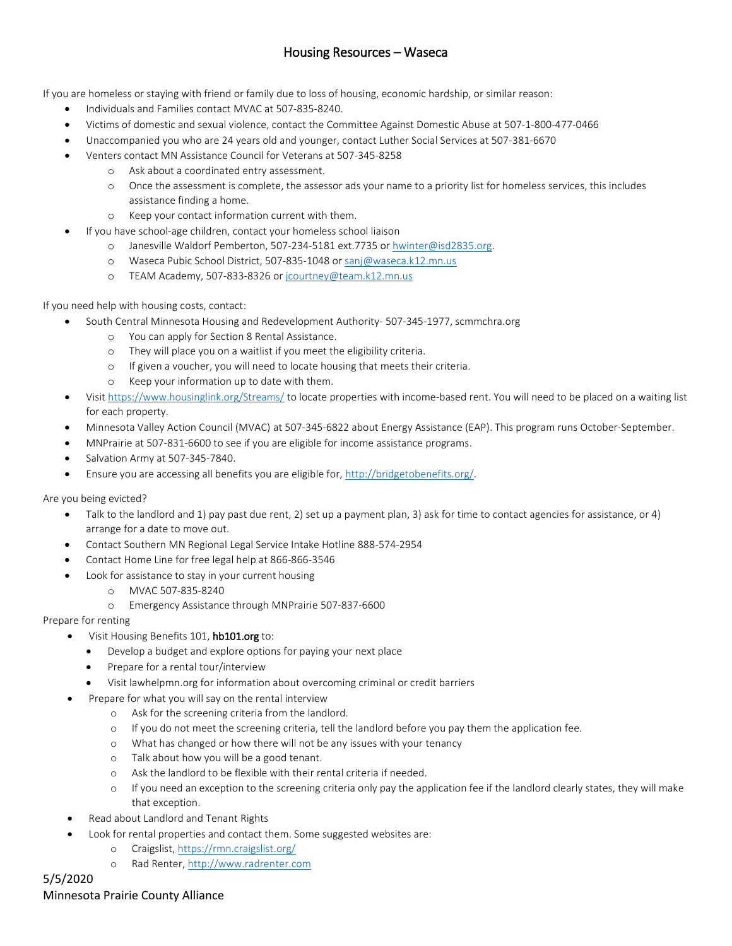## Housing Resources – Waseca

If you are homeless or staying with friend or family due to loss of housing, economic hardship, or similar reason:

- Individuals and Families contact MVAC at 507-835-8240.
- Victims of domestic and sexual violence, contact the Committee Against Domestic Abuse at 507-1-800-477-0466
- Unaccompanied you who are 24 years old and younger, contact Luther Social Services at 507-381-6670
- Venters contact MN Assistance Council for Veterans at 507-345-8258
	- o Ask about a coordinated entry assessment.
		- o Once the assessment is complete, the assessor ads your name to a priority list for homeless services, this includes assistance finding a home.
	- o Keep your contact information current with them.
- If you have school-age children, contact your homeless school liaison
	- o Janesville Waldorf Pemberton, 507-234-5181 ext.7735 o[r hwinter@isd2835.org.](mailto:hwinter@isd2835.org)
	- o Waseca Pubic School District, 507-835-1048 o[r sanj@waseca.k12.mn.us](mailto:sanj@waseca.k12.mn.us)
	- o TEAM Academy, 507-833-8326 or [jcourtney@team.k12.mn.us](mailto:jcourtney@team.k12.mn.us)

If you need help with housing costs, contact:

- South Central Minnesota Housing and Redevelopment Authority- 507-345-1977, scmmchra.org
	- o You can apply for Section 8 Rental Assistance.
	- o They will place you on a waitlist if you meet the eligibility criteria.
	- o If given a voucher, you will need to locate housing that meets their criteria.
	- o Keep your information up to date with them.
- Visi[t https://www.housinglink.org/Streams/](https://www.housinglink.org/Streams/) to locate properties with income-based rent. You will need to be placed on a waiting list for each property.
- Minnesota Valley Action Council (MVAC) at 507-345-6822 about Energy Assistance (EAP). This program runs October-September.
- MNPrairie at 507-831-6600 to see if you are eligible for income assistance programs.
- Salvation Army at 507-345-7840.
- Ensure you are accessing all benefits you are eligible for, [http://bridgetobenefits.org/.](http://bridgetobenefits.org/)

Are you being evicted?

- Talk to the landlord and 1) pay past due rent, 2) set up a payment plan, 3) ask for time to contact agencies for assistance, or 4) arrange for a date to move out.
- Contact Southern MN Regional Legal Service Intake Hotline 888-574-2954
- Contact Home Line for free legal help at 866-866-3546
- Look for assistance to stay in your current housing
	- o MVAC 507-835-8240
	- o Emergency Assistance through MNPrairie 507-837-6600

Prepare for renting

- Visit Housing Benefits 101, hb101.org to:
	- Develop a budget and explore options for paying your next place
	- Prepare for a rental tour/interview
	- Visit lawhelpmn.org for information about overcoming criminal or credit barriers
- Prepare for what you will say on the rental interview
	- o Ask for the screening criteria from the landlord.
	- o If you do not meet the screening criteria, tell the landlord before you pay them the application fee.
	- o What has changed or how there will not be any issues with your tenancy
	- o Talk about how you will be a good tenant.
	- o Ask the landlord to be flexible with their rental criteria if needed.
	- o If you need an exception to the screening criteria only pay the application fee if the landlord clearly states, they will make that exception.
- Read about Landlord and Tenant Rights
- Look for rental properties and contact them. Some suggested websites are:
	- o Craigslist,<https://rmn.craigslist.org/>
	- o Rad Renter, [http://www.radrenter.com](http://www.radrenter.com/)

# 5/5/2020

### Minnesota Prairie County Alliance